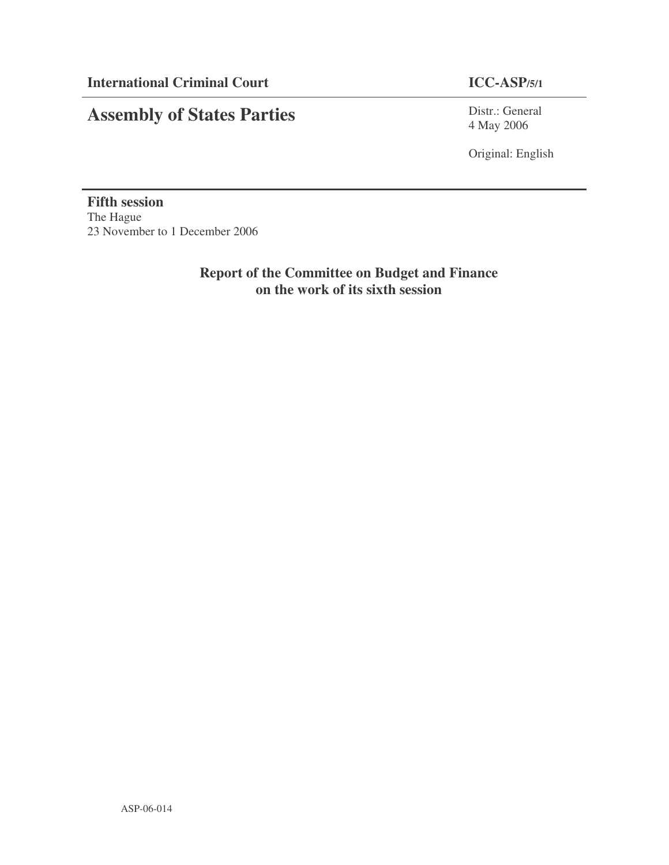# **Assembly of States Parties**

Distr.: General 4 May 2006

Original: English

**Fifth session** The Hague 23 November to 1 December 2006

> **Report of the Committee on Budget and Finance on the work of its sixth session**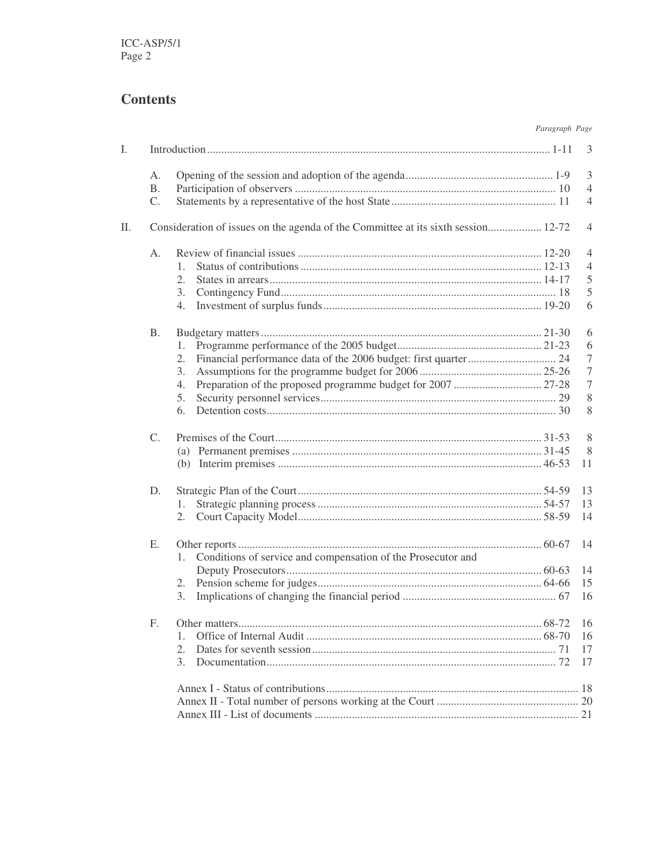# **Contents**

| Paragraph Page |  |
|----------------|--|

| Ι. |             |                                                                                   | 3                |
|----|-------------|-----------------------------------------------------------------------------------|------------------|
|    | А.          |                                                                                   | $\mathfrak{Z}$   |
|    | <b>B.</b>   |                                                                                   | $\overline{4}$   |
|    | C.          |                                                                                   | $\overline{4}$   |
| П. |             | Consideration of issues on the agenda of the Committee at its sixth session 12-72 | $\overline{4}$   |
|    | A.          |                                                                                   | $\overline{4}$   |
|    |             | $\mathbf{1}_{\cdot}$                                                              | $\overline{4}$   |
|    |             | $\overline{2}$ .                                                                  | $\mathfrak s$    |
|    |             | 3.                                                                                | 5                |
|    |             | 4.                                                                                | 6                |
|    |             |                                                                                   |                  |
|    | <b>B.</b>   |                                                                                   | 6                |
|    |             | 1.                                                                                | 6                |
|    |             | 2.                                                                                | $\boldsymbol{7}$ |
|    |             | 3.                                                                                | $\boldsymbol{7}$ |
|    |             | 4.                                                                                | $\tau$           |
|    |             | 5.                                                                                | 8                |
|    |             | 6.                                                                                | 8                |
|    |             |                                                                                   |                  |
|    | $C_{\cdot}$ |                                                                                   | 8                |
|    |             |                                                                                   | 8                |
|    |             |                                                                                   | 11               |
|    | D.          |                                                                                   | 13               |
|    |             | 1.                                                                                | 13               |
|    |             |                                                                                   |                  |
|    |             | 2.                                                                                | 14               |
|    | Ε.          |                                                                                   | 14               |
|    |             | Conditions of service and compensation of the Prosecutor and<br>1.                |                  |
|    |             |                                                                                   | 14               |
|    |             | 2.                                                                                | 15               |
|    |             | 3.                                                                                | 16               |
|    |             |                                                                                   |                  |
|    | F.          |                                                                                   |                  |
|    |             | 1.                                                                                | 16               |
|    |             | $\overline{2}$ .                                                                  | 17               |
|    |             | 3.                                                                                | 17               |
|    |             |                                                                                   |                  |
|    |             |                                                                                   |                  |
|    |             |                                                                                   |                  |
|    |             |                                                                                   |                  |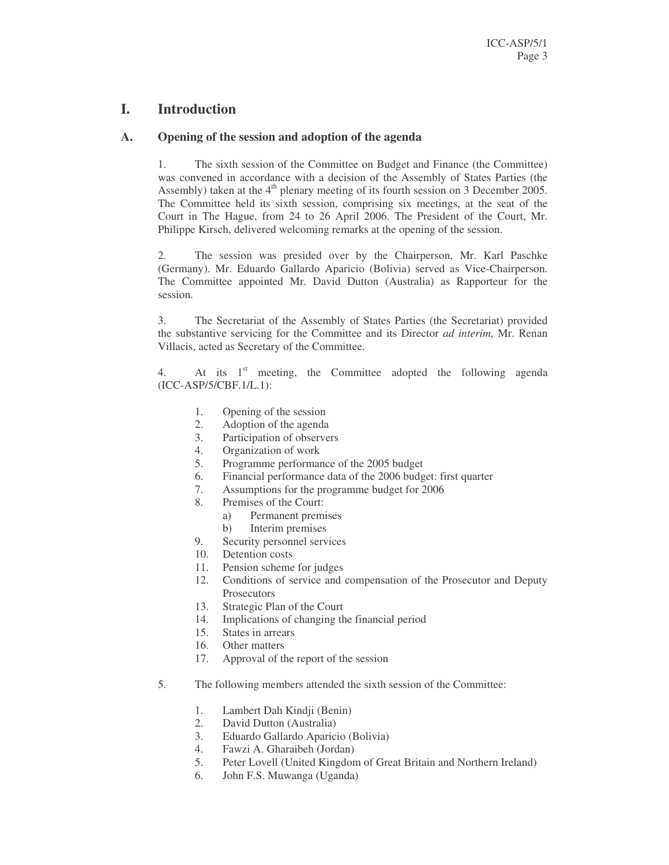### **I. Introduction**

#### **A. Opening of the session and adoption of the agenda**

1. The sixth session of the Committee on Budget and Finance (the Committee) was convened in accordance with a decision of the Assembly of States Parties (the Assembly) taken at the 4<sup>th</sup> plenary meeting of its fourth session on 3 December 2005. The Committee held its sixth session, comprising six meetings, at the seat of the Court in The Hague, from 24 to 26 April 2006. The President of the Court, Mr. Philippe Kirsch, delivered welcoming remarks at the opening of the session.

2. The session was presided over by the Chairperson, Mr. Karl Paschke (Germany). Mr. Eduardo Gallardo Aparicio (Bolivia) served as Vice-Chairperson. The Committee appointed Mr. David Dutton (Australia) as Rapporteur for the session.

3. The Secretariat of the Assembly of States Parties (the Secretariat) provided the substantive servicing for the Committee and its Director *ad interim,* Mr. Renan Villacis, acted as Secretary of the Committee.

4. At its 1<sup>st</sup> meeting, the Committee adopted the following agenda (ICC-ASP/5/CBF.1/L.1):

- 1. Opening of the session
- 2. Adoption of the agenda
- 3. Participation of observers
- 4. Organization of work
- 5. Programme performance of the 2005 budget
- 6. Financial performance data of the 2006 budget: first quarter
- 7. Assumptions for the programme budget for 2006
- 8. Premises of the Court:
	- a) Permanent premises
	- b) Interim premises
- 9. Security personnel services
- 10. Detention costs
- 11. Pension scheme for judges
- 12. Conditions of service and compensation of the Prosecutor and Deputy **Prosecutors**
- 13. Strategic Plan of the Court
- 14. Implications of changing the financial period
- 15. States in arrears
- 16. Other matters
- 17. Approval of the report of the session
- 5. The following members attended the sixth session of the Committee:
	- 1. Lambert Dah Kindji (Benin)
	- 2. David Dutton (Australia)
	- 3. Eduardo Gallardo Aparicio (Bolivia)
	- 4. Fawzi A. Gharaibeh (Jordan)
	- 5. Peter Lovell (United Kingdom of Great Britain and Northern Ireland)
	- 6. John F.S. Muwanga (Uganda)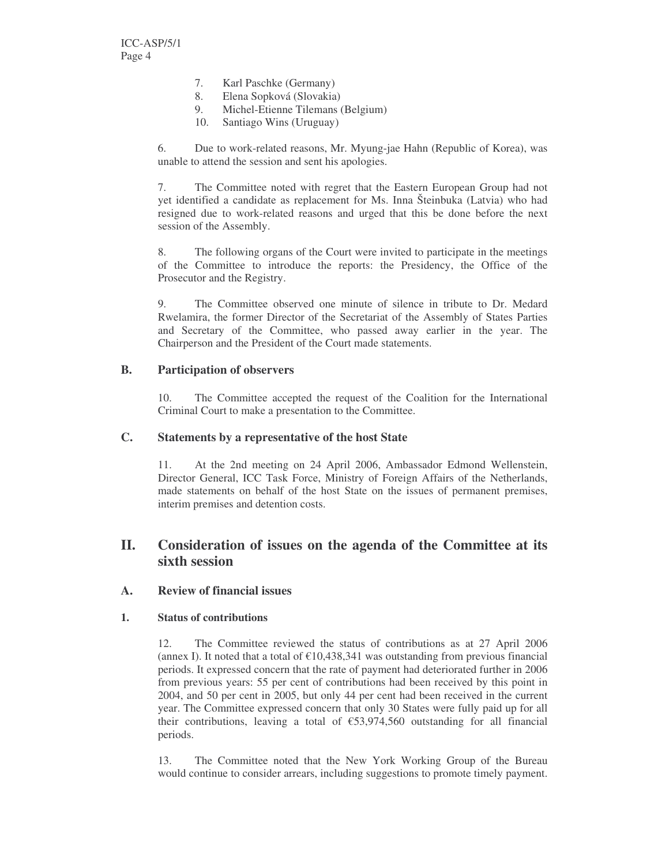- 7. Karl Paschke (Germany)
- 8. Elena Sopková (Slovakia)
- 9. Michel-Etienne Tilemans (Belgium)
- 10. Santiago Wins (Uruguay)

6. Due to work-related reasons, Mr. Myung-jae Hahn (Republic of Korea), was unable to attend the session and sent his apologies.

7. The Committee noted with regret that the Eastern European Group had not yet identified a candidate as replacement for Ms. Inna Šteinbuka (Latvia) who had resigned due to work-related reasons and urged that this be done before the next session of the Assembly.

8. The following organs of the Court were invited to participate in the meetings of the Committee to introduce the reports: the Presidency, the Office of the Prosecutor and the Registry.

9. The Committee observed one minute of silence in tribute to Dr. Medard Rwelamira, the former Director of the Secretariat of the Assembly of States Parties and Secretary of the Committee, who passed away earlier in the year. The Chairperson and the President of the Court made statements.

#### **B. Participation of observers**

10. The Committee accepted the request of the Coalition for the International Criminal Court to make a presentation to the Committee.

#### **C. Statements by a representative of the host State**

11. At the 2nd meeting on 24 April 2006, Ambassador Edmond Wellenstein, Director General, ICC Task Force, Ministry of Foreign Affairs of the Netherlands, made statements on behalf of the host State on the issues of permanent premises, interim premises and detention costs.

### **II. Consideration of issues on the agenda of the Committee at its sixth session**

#### **A. Review of financial issues**

#### **1. Status of contributions**

12. The Committee reviewed the status of contributions as at 27 April 2006 (annex I). It noted that a total of  $\epsilon$ 10,438,341 was outstanding from previous financial periods. It expressed concern that the rate of payment had deteriorated further in 2006 from previous years: 55 per cent of contributions had been received by this point in 2004, and 50 per cent in 2005, but only 44 per cent had been received in the current year. The Committee expressed concern that only 30 States were fully paid up for all their contributions, leaving a total of €53,974,560 outstanding for all financial periods.

13. The Committee noted that the New York Working Group of the Bureau would continue to consider arrears, including suggestions to promote timely payment.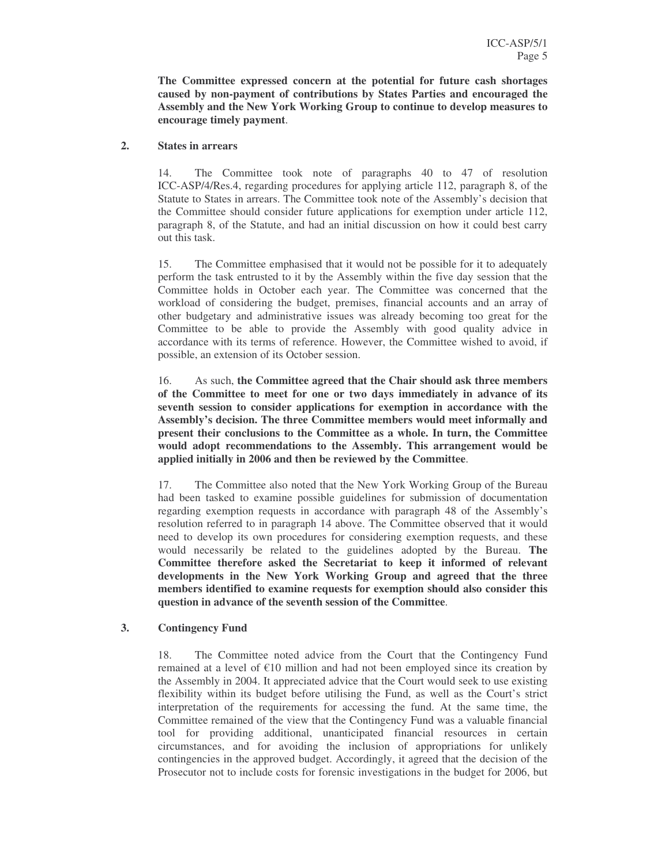**The Committee expressed concern at the potential for future cash shortages caused by non-payment of contributions by States Parties and encouraged the Assembly and the New York Working Group to continue to develop measures to encourage timely payment**.

#### **2. States in arrears**

14. The Committee took note of paragraphs 40 to 47 of resolution ICC-ASP/4/Res.4, regarding procedures for applying article 112, paragraph 8, of the Statute to States in arrears. The Committee took note of the Assembly's decision that the Committee should consider future applications for exemption under article 112, paragraph 8, of the Statute, and had an initial discussion on how it could best carry out this task.

15. The Committee emphasised that it would not be possible for it to adequately perform the task entrusted to it by the Assembly within the five day session that the Committee holds in October each year. The Committee was concerned that the workload of considering the budget, premises, financial accounts and an array of other budgetary and administrative issues was already becoming too great for the Committee to be able to provide the Assembly with good quality advice in accordance with its terms of reference. However, the Committee wished to avoid, if possible, an extension of its October session.

16. As such, **the Committee agreed that the Chair should ask three members of the Committee to meet for one or two days immediately in advance of its seventh session to consider applications for exemption in accordance with the Assembly's decision. The three Committee members would meet informally and present their conclusions to the Committee as a whole. In turn, the Committee would adopt recommendations to the Assembly. This arrangement would be applied initially in 2006 and then be reviewed by the Committee**.

17. The Committee also noted that the New York Working Group of the Bureau had been tasked to examine possible guidelines for submission of documentation regarding exemption requests in accordance with paragraph 48 of the Assembly's resolution referred to in paragraph 14 above. The Committee observed that it would need to develop its own procedures for considering exemption requests, and these would necessarily be related to the guidelines adopted by the Bureau. **The Committee therefore asked the Secretariat to keep it informed of relevant developments in the New York Working Group and agreed that the three members identified to examine requests for exemption should also consider this question in advance of the seventh session of the Committee**.

### **3. Contingency Fund**

18. The Committee noted advice from the Court that the Contingency Fund remained at a level of  $\epsilon$ 10 million and had not been employed since its creation by the Assembly in 2004. It appreciated advice that the Court would seek to use existing flexibility within its budget before utilising the Fund, as well as the Court's strict interpretation of the requirements for accessing the fund. At the same time, the Committee remained of the view that the Contingency Fund was a valuable financial tool for providing additional, unanticipated financial resources in certain circumstances, and for avoiding the inclusion of appropriations for unlikely contingencies in the approved budget. Accordingly, it agreed that the decision of the Prosecutor not to include costs for forensic investigations in the budget for 2006, but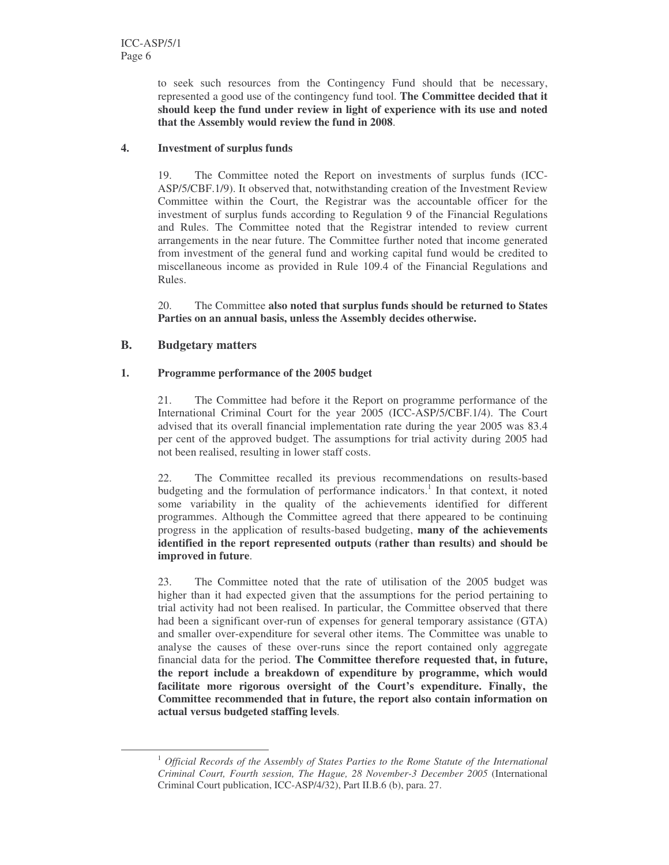to seek such resources from the Contingency Fund should that be necessary, represented a good use of the contingency fund tool. **The Committee decided that it should keep the fund under review in light of experience with its use and noted that the Assembly would review the fund in 2008**.

#### **4. Investment of surplus funds**

19. The Committee noted the Report on investments of surplus funds (ICC-ASP/5/CBF.1/9). It observed that, notwithstanding creation of the Investment Review Committee within the Court, the Registrar was the accountable officer for the investment of surplus funds according to Regulation 9 of the Financial Regulations and Rules. The Committee noted that the Registrar intended to review current arrangements in the near future. The Committee further noted that income generated from investment of the general fund and working capital fund would be credited to miscellaneous income as provided in Rule 109.4 of the Financial Regulations and Rules.

20. The Committee **also noted that surplus funds should be returned to States Parties on an annual basis, unless the Assembly decides otherwise.**

### **B. Budgetary matters**

### **1. Programme performance of the 2005 budget**

21. The Committee had before it the Report on programme performance of the International Criminal Court for the year 2005 (ICC-ASP/5/CBF.1/4). The Court advised that its overall financial implementation rate during the year 2005 was 83.4 per cent of the approved budget. The assumptions for trial activity during 2005 had not been realised, resulting in lower staff costs.

22. The Committee recalled its previous recommendations on results-based budgeting and the formulation of performance indicators. 1 In that context, it noted some variability in the quality of the achievements identified for different programmes. Although the Committee agreed that there appeared to be continuing progress in the application of results-based budgeting, **many of the achievements identified in the report represented outputs (rather than results) and should be improved in future**.

23. The Committee noted that the rate of utilisation of the 2005 budget was higher than it had expected given that the assumptions for the period pertaining to trial activity had not been realised. In particular, the Committee observed that there had been a significant over-run of expenses for general temporary assistance (GTA) and smaller over-expenditure for several other items. The Committee was unable to analyse the causes of these over-runs since the report contained only aggregate financial data for the period. **The Committee therefore requested that, in future, the report include a breakdown of expenditure by programme, which would facilitate more rigorous oversight of the Court's expenditure. Finally, the Committee recommended that in future, the report also contain information on actual versus budgeted staffing levels**.

<sup>1</sup> *Official Records of the Assembly of States Parties to the Rome Statute of the International Criminal Court, Fourth session, The Hague, 28 November-3 December 2005* (International Criminal Court publication, ICC-ASP/4/32), Part II.B.6 (b), para. 27.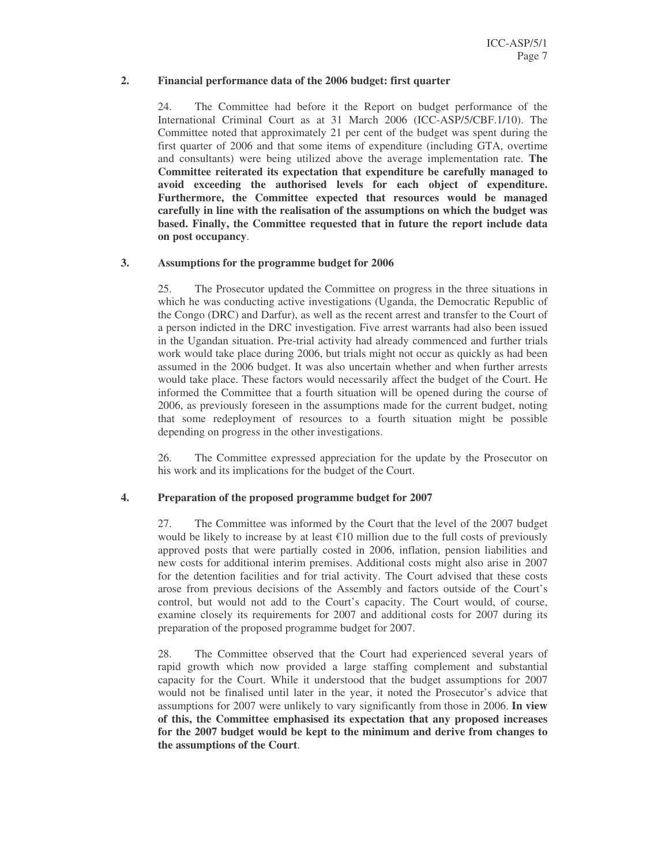#### **2. Financial performance data of the 2006 budget: first quarter**

24. The Committee had before it the Report on budget performance of the International Criminal Court as at 31 March 2006 (ICC-ASP/5/CBF.1/10). The Committee noted that approximately 21 per cent of the budget was spent during the first quarter of 2006 and that some items of expenditure (including GTA, overtime and consultants) were being utilized above the average implementation rate. **The Committee reiterated its expectation that expenditure be carefully managed to avoid exceeding the authorised levels for each object of expenditure. Furthermore, the Committee expected that resources would be managed carefully in line with the realisation of the assumptions on which the budget was based. Finally, the Committee requested that in future the report include data on post occupancy**.

#### **3. Assumptions for the programme budget for 2006**

25. The Prosecutor updated the Committee on progress in the three situations in which he was conducting active investigations (Uganda, the Democratic Republic of the Congo (DRC) and Darfur), as well as the recent arrest and transfer to the Court of a person indicted in the DRC investigation. Five arrest warrants had also been issued in the Ugandan situation. Pre-trial activity had already commenced and further trials work would take place during 2006, but trials might not occur as quickly as had been assumed in the 2006 budget. It was also uncertain whether and when further arrests would take place. These factors would necessarily affect the budget of the Court. He informed the Committee that a fourth situation will be opened during the course of 2006, as previously foreseen in the assumptions made for the current budget, noting that some redeployment of resources to a fourth situation might be possible depending on progress in the other investigations.

26. The Committee expressed appreciation for the update by the Prosecutor on his work and its implications for the budget of the Court.

#### **4. Preparation of the proposed programme budget for 2007**

27. The Committee was informed by the Court that the level of the 2007 budget would be likely to increase by at least  $\epsilon$ 10 million due to the full costs of previously approved posts that were partially costed in 2006, inflation, pension liabilities and new costs for additional interim premises. Additional costs might also arise in 2007 for the detention facilities and for trial activity. The Court advised that these costs arose from previous decisions of the Assembly and factors outside of the Court's control, but would not add to the Court's capacity. The Court would, of course, examine closely its requirements for 2007 and additional costs for 2007 during its preparation of the proposed programme budget for 2007.

28. The Committee observed that the Court had experienced several years of rapid growth which now provided a large staffing complement and substantial capacity for the Court. While it understood that the budget assumptions for 2007 would not be finalised until later in the year, it noted the Prosecutor's advice that assumptions for 2007 were unlikely to vary significantly from those in 2006. **In view of this, the Committee emphasised its expectation that any proposed increases for the 2007 budget would be kept to the minimum and derive from changes to the assumptions of the Court**.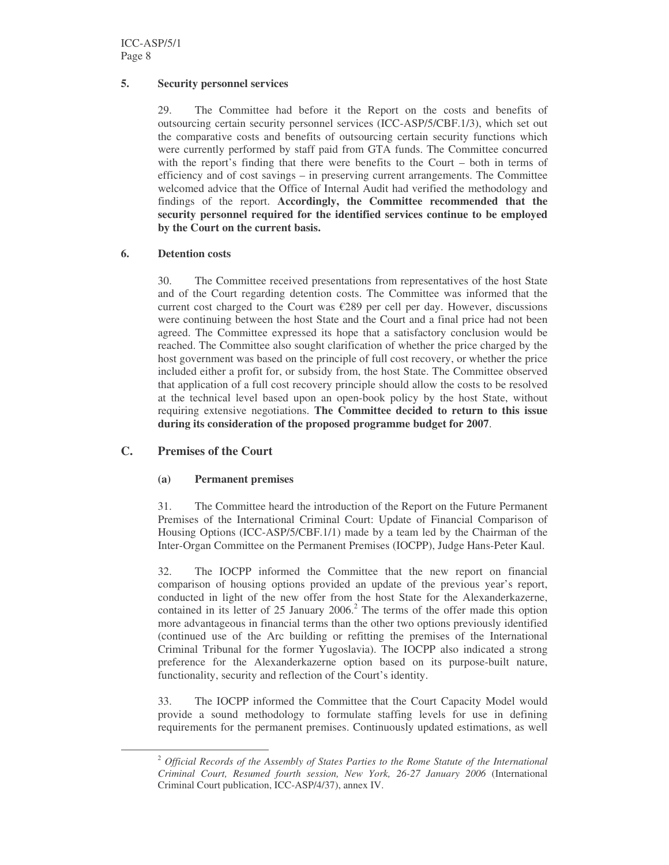#### **5. Security personnel services**

29. The Committee had before it the Report on the costs and benefits of outsourcing certain security personnel services (ICC-ASP/5/CBF.1/3), which set out the comparative costs and benefits of outsourcing certain security functions which were currently performed by staff paid from GTA funds. The Committee concurred with the report's finding that there were benefits to the Court – both in terms of efficiency and of cost savings – in preserving current arrangements. The Committee welcomed advice that the Office of Internal Audit had verified the methodology and findings of the report. **Accordingly, the Committee recommended that the security personnel required for the identified services continue to be employed by the Court on the current basis.**

#### **6. Detention costs**

30. The Committee received presentations from representatives of the host State and of the Court regarding detention costs. The Committee was informed that the current cost charged to the Court was  $E289$  per cell per day. However, discussions were continuing between the host State and the Court and a final price had not been agreed. The Committee expressed its hope that a satisfactory conclusion would be reached. The Committee also sought clarification of whether the price charged by the host government was based on the principle of full cost recovery, or whether the price included either a profit for, or subsidy from, the host State. The Committee observed that application of a full cost recovery principle should allow the costs to be resolved at the technical level based upon an open-book policy by the host State, without requiring extensive negotiations. **The Committee decided to return to this issue during its consideration of the proposed programme budget for 2007**.

### **C. Premises of the Court**

#### **(a) Permanent premises**

31. The Committee heard the introduction of the Report on the Future Permanent Premises of the International Criminal Court: Update of Financial Comparison of Housing Options (ICC-ASP/5/CBF.1/1) made by a team led by the Chairman of the Inter-Organ Committee on the Permanent Premises (IOCPP), Judge Hans-Peter Kaul.

32. The IOCPP informed the Committee that the new report on financial comparison of housing options provided an update of the previous year's report, conducted in light of the new offer from the host State for the Alexanderkazerne, contained in its letter of 25 January 2006. <sup>2</sup> The terms of the offer made this option more advantageous in financial terms than the other two options previously identified (continued use of the Arc building or refitting the premises of the International Criminal Tribunal for the former Yugoslavia). The IOCPP also indicated a strong preference for the Alexanderkazerne option based on its purpose-built nature, functionality, security and reflection of the Court's identity.

33. The IOCPP informed the Committee that the Court Capacity Model would provide a sound methodology to formulate staffing levels for use in defining requirements for the permanent premises. Continuously updated estimations, as well

<sup>2</sup> *Official Records of the Assembly of States Parties to the Rome Statute of the International Criminal Court, Resumed fourth session, New York, 26-27 January 2006* (International Criminal Court publication, ICC-ASP/4/37), annex IV.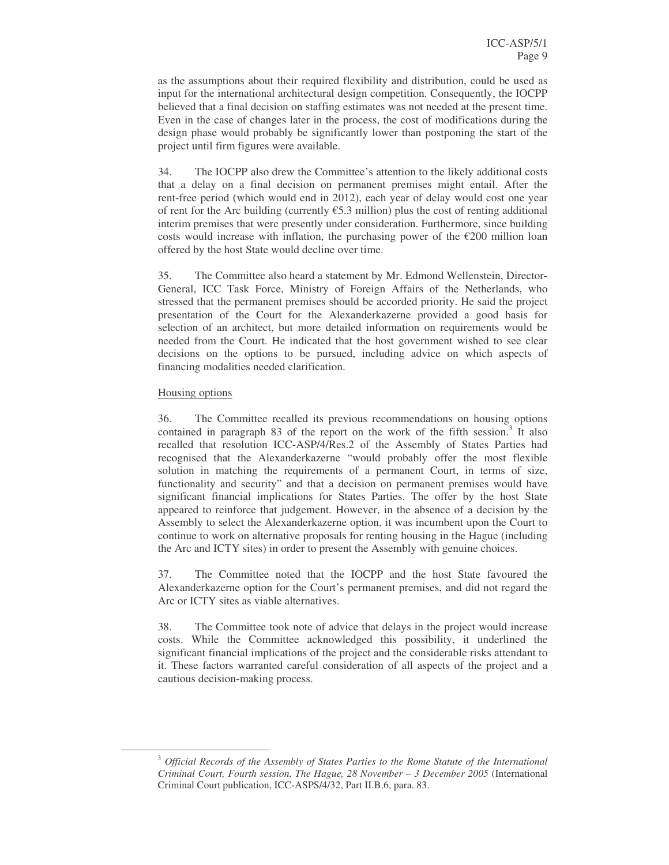as the assumptions about their required flexibility and distribution, could be used as input for the international architectural design competition. Consequently, the IOCPP believed that a final decision on staffing estimates was not needed at the present time. Even in the case of changes later in the process, the cost of modifications during the design phase would probably be significantly lower than postponing the start of the project until firm figures were available.

34. The IOCPP also drew the Committee's attention to the likely additional costs that a delay on a final decision on permanent premises might entail. After the rent-free period (which would end in 2012), each year of delay would cost one year of rent for the Arc building (currently  $\epsilon$ 5.3 million) plus the cost of renting additional interim premises that were presently under consideration. Furthermore, since building costs would increase with inflation, the purchasing power of the  $\epsilon$ 200 million loan offered by the host State would decline over time.

35. The Committee also heard a statement by Mr. Edmond Wellenstein, Director-General, ICC Task Force, Ministry of Foreign Affairs of the Netherlands, who stressed that the permanent premises should be accorded priority. He said the project presentation of the Court for the Alexanderkazerne provided a good basis for selection of an architect, but more detailed information on requirements would be needed from the Court. He indicated that the host government wished to see clear decisions on the options to be pursued, including advice on which aspects of financing modalities needed clarification.

#### Housing options

36. The Committee recalled its previous recommendations on housing options contained in paragraph 83 of the report on the work of the fifth session.<sup>3</sup> It also recalled that resolution ICC-ASP/4/Res.2 of the Assembly of States Parties had recognised that the Alexanderkazerne "would probably offer the most flexible solution in matching the requirements of a permanent Court, in terms of size, functionality and security" and that a decision on permanent premises would have significant financial implications for States Parties. The offer by the host State appeared to reinforce that judgement. However, in the absence of a decision by the Assembly to select the Alexanderkazerne option, it was incumbent upon the Court to continue to work on alternative proposals for renting housing in the Hague (including the Arc and ICTY sites) in order to present the Assembly with genuine choices.

37. The Committee noted that the IOCPP and the host State favoured the Alexanderkazerne option for the Court's permanent premises, and did not regard the Arc or ICTY sites as viable alternatives.

38. The Committee took note of advice that delays in the project would increase costs. While the Committee acknowledged this possibility, it underlined the significant financial implications of the project and the considerable risks attendant to it. These factors warranted careful consideration of all aspects of the project and a cautious decision-making process.

<sup>3</sup> *Official Records of the Assembly of States Parties to the Rome Statute of the International Criminal Court, Fourth session, The Hague, 28 November – 3 December 2005* (International Criminal Court publication, ICC-ASPS/4/32, Part II.B.6, para. 83.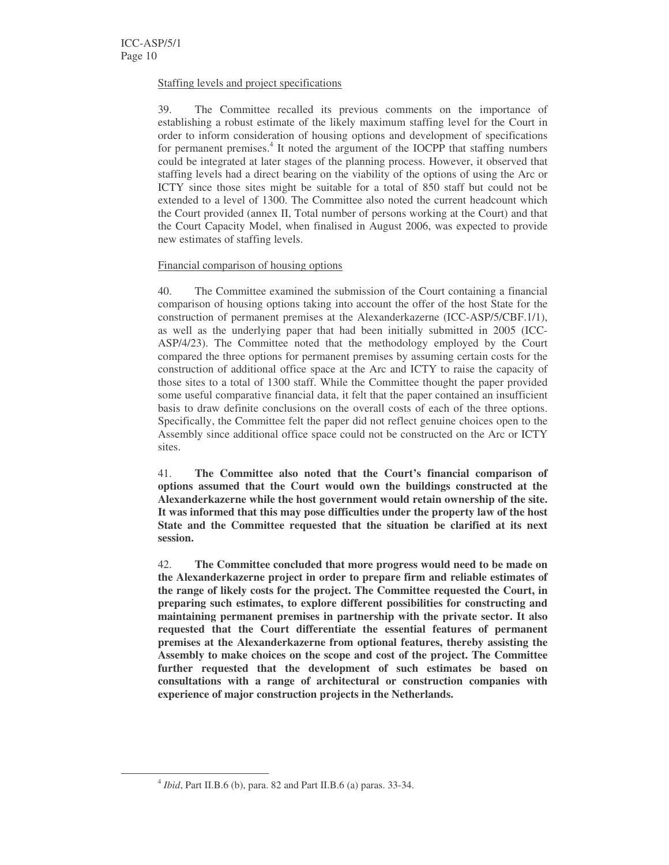#### Staffing levels and project specifications

39. The Committee recalled its previous comments on the importance of establishing a robust estimate of the likely maximum staffing level for the Court in order to inform consideration of housing options and development of specifications for permanent premises.<sup>4</sup> It noted the argument of the IOCPP that staffing numbers could be integrated at later stages of the planning process. However, it observed that staffing levels had a direct bearing on the viability of the options of using the Arc or ICTY since those sites might be suitable for a total of 850 staff but could not be extended to a level of 1300. The Committee also noted the current headcount which the Court provided (annex II, Total number of persons working at the Court) and that the Court Capacity Model, when finalised in August 2006, was expected to provide new estimates of staffing levels.

#### Financial comparison of housing options

40. The Committee examined the submission of the Court containing a financial comparison of housing options taking into account the offer of the host State for the construction of permanent premises at the Alexanderkazerne (ICC-ASP/5/CBF.1/1), as well as the underlying paper that had been initially submitted in 2005 (ICC-ASP/4/23). The Committee noted that the methodology employed by the Court compared the three options for permanent premises by assuming certain costs for the construction of additional office space at the Arc and ICTY to raise the capacity of those sites to a total of 1300 staff. While the Committee thought the paper provided some useful comparative financial data, it felt that the paper contained an insufficient basis to draw definite conclusions on the overall costs of each of the three options. Specifically, the Committee felt the paper did not reflect genuine choices open to the Assembly since additional office space could not be constructed on the Arc or ICTY sites.

41. **The Committee also noted that the Court's financial comparison of options assumed that the Court would own the buildings constructed at the Alexanderkazerne while the host government would retain ownership of the site. It was informed that this may pose difficulties under the property law of the host State and the Committee requested that the situation be clarified at its next session.**

42. **The Committee concluded that more progress would need to be made on the Alexanderkazerne project in order to prepare firm and reliable estimates of the range of likely costs for the project. The Committee requested the Court, in preparing such estimates, to explore different possibilities for constructing and maintaining permanent premises in partnership with the private sector. It also requested that the Court differentiate the essential features of permanent premises at the Alexanderkazerne from optional features, thereby assisting the Assembly to make choices on the scope and cost of the project. The Committee further requested that the development of such estimates be based on consultations with a range of architectural or construction companies with experience of major construction projects in the Netherlands.**

<sup>4</sup> *Ibid*, Part II.B.6 (b), para. 82 and Part II.B.6 (a) paras. 33-34.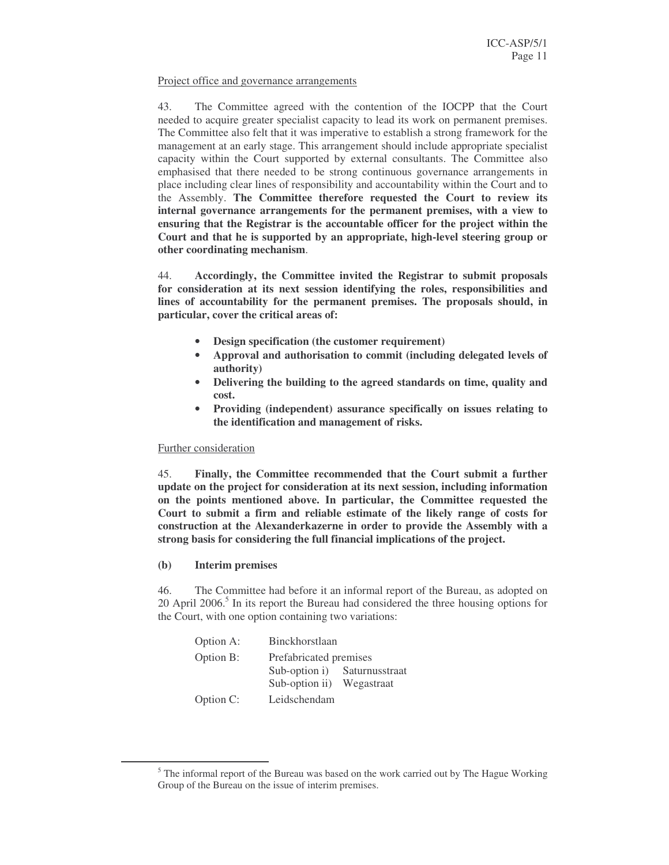#### Project office and governance arrangements

43. The Committee agreed with the contention of the IOCPP that the Court needed to acquire greater specialist capacity to lead its work on permanent premises. The Committee also felt that it was imperative to establish a strong framework for the management at an early stage. This arrangement should include appropriate specialist capacity within the Court supported by external consultants. The Committee also emphasised that there needed to be strong continuous governance arrangements in place including clear lines of responsibility and accountability within the Court and to the Assembly. **The Committee therefore requested the Court to review its internal governance arrangements for the permanent premises, with a view to ensuring that the Registrar is the accountable officer for the project within the Court and that he is supported by an appropriate, high-level steering group or other coordinating mechanism**.

44. **Accordingly, the Committee invited the Registrar to submit proposals for consideration at its next session identifying the roles, responsibilities and lines of accountability for the permanent premises. The proposals should, in particular, cover the critical areas of:**

- **Design specification (the customer requirement)**
- **Approval and authorisation to commit (including delegated levels of authority)**
- **Delivering the building to the agreed standards on time, quality and cost.**
- **Providing (independent) assurance specifically on issues relating to the identification and management of risks.**

#### Further consideration

45. **Finally, the Committee recommended that the Court submit a further update on the project for consideration at its next session, including information on the points mentioned above. In particular, the Committee requested the Court to submit a firm and reliable estimate of the likely range of costs for construction at the Alexanderkazerne in order to provide the Assembly with a strong basis for considering the full financial implications of the project.**

#### **(b) Interim premises**

46. The Committee had before it an informal report of the Bureau, as adopted on 20 April 2006.<sup>5</sup> In its report the Bureau had considered the three housing options for the Court, with one option containing two variations:

| Option A: | <b>Binckhorstlaan</b>  |                |
|-----------|------------------------|----------------|
| Option B: | Prefabricated premises |                |
|           | Sub-option i)          | Saturnusstraat |
|           | Sub-option ii)         | Wegastraat     |
| Option C: | Leidschendam           |                |

 $<sup>5</sup>$  The informal report of the Bureau was based on the work carried out by The Hague Working</sup> Group of the Bureau on the issue of interim premises.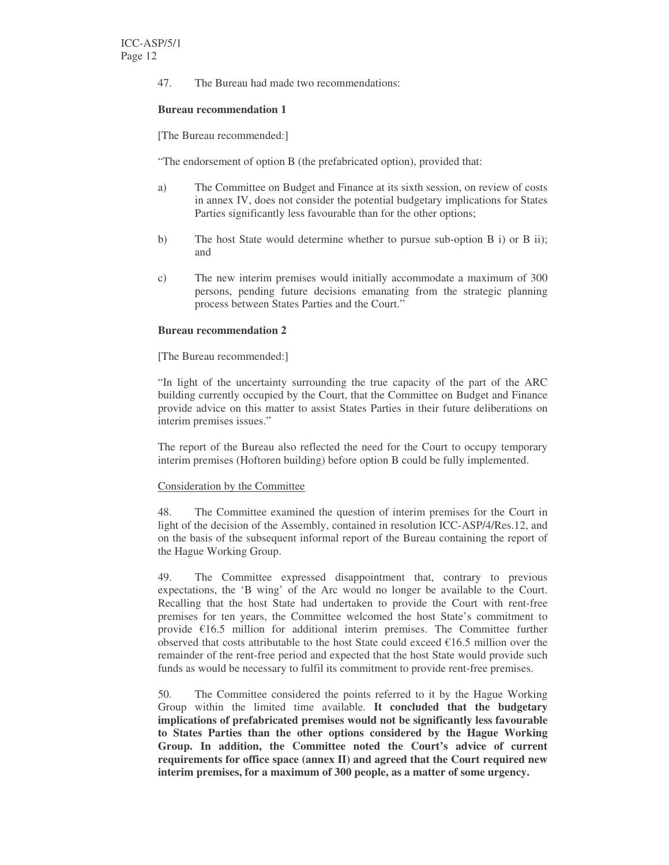47. The Bureau had made two recommendations:

#### **Bureau recommendation 1**

[The Bureau recommended:]

"The endorsement of option B (the prefabricated option), provided that:

- a) The Committee on Budget and Finance at its sixth session, on review of costs in annex IV, does not consider the potential budgetary implications for States Parties significantly less favourable than for the other options;
- b) The host State would determine whether to pursue sub-option B i) or B ii); and
- c) The new interim premises would initially accommodate a maximum of 300 persons, pending future decisions emanating from the strategic planning process between States Parties and the Court."

#### **Bureau recommendation 2**

[The Bureau recommended:]

"In light of the uncertainty surrounding the true capacity of the part of the ARC building currently occupied by the Court, that the Committee on Budget and Finance provide advice on this matter to assist States Parties in their future deliberations on interim premises issues."

The report of the Bureau also reflected the need for the Court to occupy temporary interim premises (Hoftoren building) before option B could be fully implemented.

#### Consideration by the Committee

48. The Committee examined the question of interim premises for the Court in light of the decision of the Assembly, contained in resolution ICC-ASP/4/Res.12, and on the basis of the subsequent informal report of the Bureau containing the report of the Hague Working Group.

49. The Committee expressed disappointment that, contrary to previous expectations, the 'B wing' of the Arc would no longer be available to the Court. Recalling that the host State had undertaken to provide the Court with rent-free premises for ten years, the Committee welcomed the host State's commitment to provide €16.5 million for additional interim premises. The Committee further observed that costs attributable to the host State could exceed  $\epsilon$ 16.5 million over the remainder of the rent-free period and expected that the host State would provide such funds as would be necessary to fulfil its commitment to provide rent-free premises.

50. The Committee considered the points referred to it by the Hague Working Group within the limited time available. **It concluded that the budgetary implications of prefabricated premises would not be significantly less favourable to States Parties than the other options considered by the Hague Working Group. In addition, the Committee noted the Court's advice of current requirements for office space (annex II) and agreed that the Court required new interim premises, for a maximum of 300 people, as a matter of some urgency.**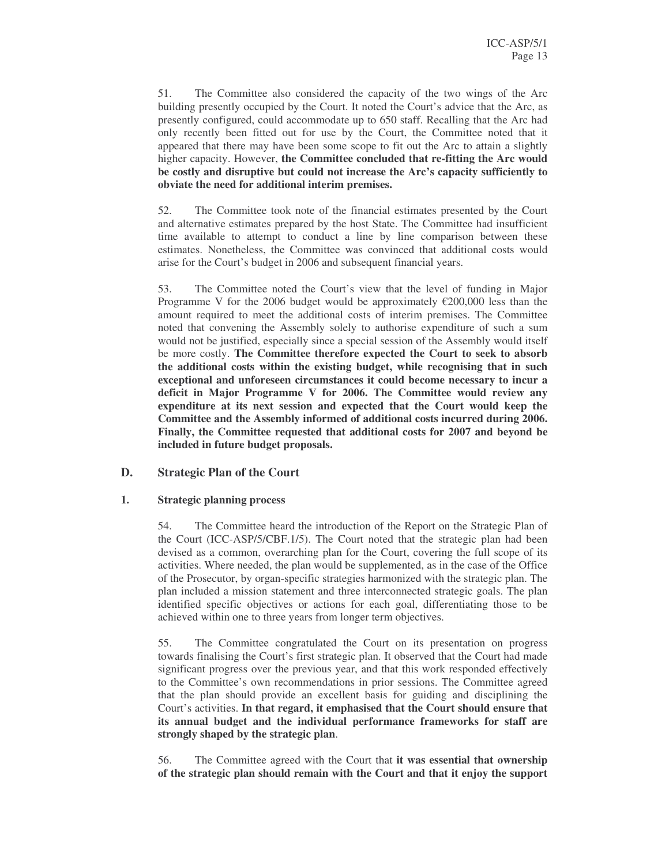51. The Committee also considered the capacity of the two wings of the Arc building presently occupied by the Court. It noted the Court's advice that the Arc, as presently configured, could accommodate up to 650 staff. Recalling that the Arc had only recently been fitted out for use by the Court, the Committee noted that it appeared that there may have been some scope to fit out the Arc to attain a slightly higher capacity. However, **the Committee concluded that re-fitting the Arc would be costly and disruptive but could not increase the Arc's capacity sufficiently to obviate the need for additional interim premises.**

52. The Committee took note of the financial estimates presented by the Court and alternative estimates prepared by the host State. The Committee had insufficient time available to attempt to conduct a line by line comparison between these estimates. Nonetheless, the Committee was convinced that additional costs would arise for the Court's budget in 2006 and subsequent financial years.

53. The Committee noted the Court's view that the level of funding in Major Programme V for the 2006 budget would be approximately  $\epsilon$ 200,000 less than the amount required to meet the additional costs of interim premises. The Committee noted that convening the Assembly solely to authorise expenditure of such a sum would not be justified, especially since a special session of the Assembly would itself be more costly. **The Committee therefore expected the Court to seek to absorb the additional costs within the existing budget, while recognising that in such exceptional and unforeseen circumstances it could become necessary to incur a deficit in Major Programme V for 2006. The Committee would review any expenditure at its next session and expected that the Court would keep the Committee and the Assembly informed of additional costs incurred during 2006. Finally, the Committee requested that additional costs for 2007 and beyond be included in future budget proposals.**

#### **D. Strategic Plan of the Court**

#### **1. Strategic planning process**

54. The Committee heard the introduction of the Report on the Strategic Plan of the Court (ICC-ASP/5/CBF.1/5). The Court noted that the strategic plan had been devised as a common, overarching plan for the Court, covering the full scope of its activities. Where needed, the plan would be supplemented, as in the case of the Office of the Prosecutor, by organ-specific strategies harmonized with the strategic plan. The plan included a mission statement and three interconnected strategic goals. The plan identified specific objectives or actions for each goal, differentiating those to be achieved within one to three years from longer term objectives.

55. The Committee congratulated the Court on its presentation on progress towards finalising the Court's first strategic plan. It observed that the Court had made significant progress over the previous year, and that this work responded effectively to the Committee's own recommendations in prior sessions. The Committee agreed that the plan should provide an excellent basis for guiding and disciplining the Court's activities. **In that regard, it emphasised that the Court should ensure that its annual budget and the individual performance frameworks for staff are strongly shaped by the strategic plan**.

56. The Committee agreed with the Court that **it was essential that ownership of the strategic plan should remain with the Court and that it enjoy the support**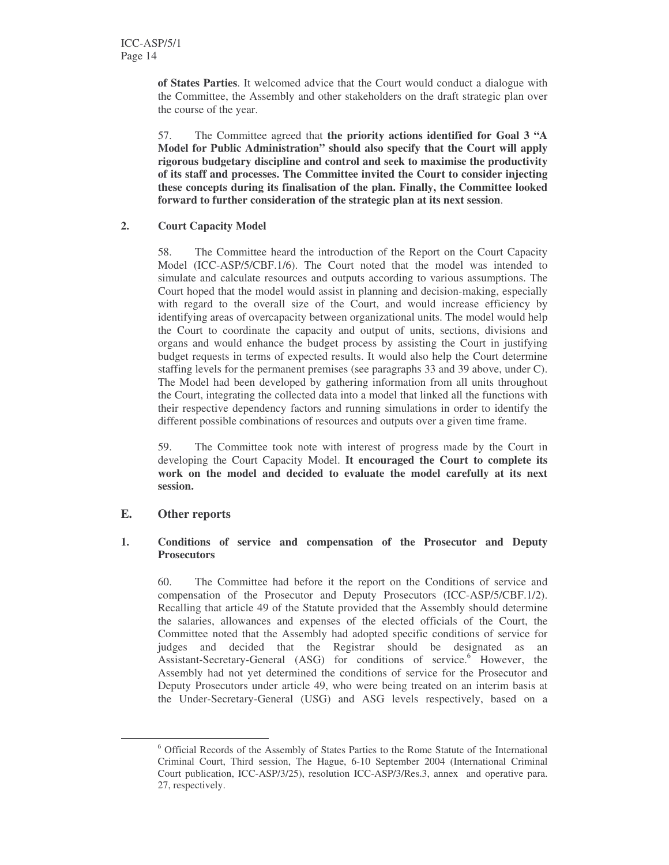**of States Parties**. It welcomed advice that the Court would conduct a dialogue with the Committee, the Assembly and other stakeholders on the draft strategic plan over the course of the year.

57. The Committee agreed that **the priority actions identified for Goal 3 "A Model for Public Administration" should also specify that the Court will apply rigorous budgetary discipline and control and seek to maximise the productivity of its staff and processes. The Committee invited the Court to consider injecting these concepts during its finalisation of the plan. Finally, the Committee looked forward to further consideration of the strategic plan at its next session**.

#### **2. Court Capacity Model**

58. The Committee heard the introduction of the Report on the Court Capacity Model (ICC-ASP/5/CBF.1/6). The Court noted that the model was intended to simulate and calculate resources and outputs according to various assumptions. The Court hoped that the model would assist in planning and decision-making, especially with regard to the overall size of the Court, and would increase efficiency by identifying areas of overcapacity between organizational units. The model would help the Court to coordinate the capacity and output of units, sections, divisions and organs and would enhance the budget process by assisting the Court in justifying budget requests in terms of expected results. It would also help the Court determine staffing levels for the permanent premises (see paragraphs 33 and 39 above, under C). The Model had been developed by gathering information from all units throughout the Court, integrating the collected data into a model that linked all the functions with their respective dependency factors and running simulations in order to identify the different possible combinations of resources and outputs over a given time frame.

59. The Committee took note with interest of progress made by the Court in developing the Court Capacity Model. **It encouraged the Court to complete its work on the model and decided to evaluate the model carefully at its next session.**

### **E. Other reports**

#### **1. Conditions of service and compensation of the Prosecutor and Deputy Prosecutors**

60. The Committee had before it the report on the Conditions of service and compensation of the Prosecutor and Deputy Prosecutors (ICC-ASP/5/CBF.1/2). Recalling that article 49 of the Statute provided that the Assembly should determine the salaries, allowances and expenses of the elected officials of the Court, the Committee noted that the Assembly had adopted specific conditions of service for judges and decided that the Registrar should be designated as an Assistant-Secretary-General (ASG) for conditions of service.<sup>6</sup> However, the Assembly had not yet determined the conditions of service for the Prosecutor and Deputy Prosecutors under article 49, who were being treated on an interim basis at the Under-Secretary-General (USG) and ASG levels respectively, based on a

<sup>6</sup> Official Records of the Assembly of States Parties to the Rome Statute of the International Criminal Court, Third session, The Hague, 6-10 September 2004 (International Criminal Court publication, ICC-ASP/3/25), resolution ICC-ASP/3/Res.3, annex and operative para. 27, respectively.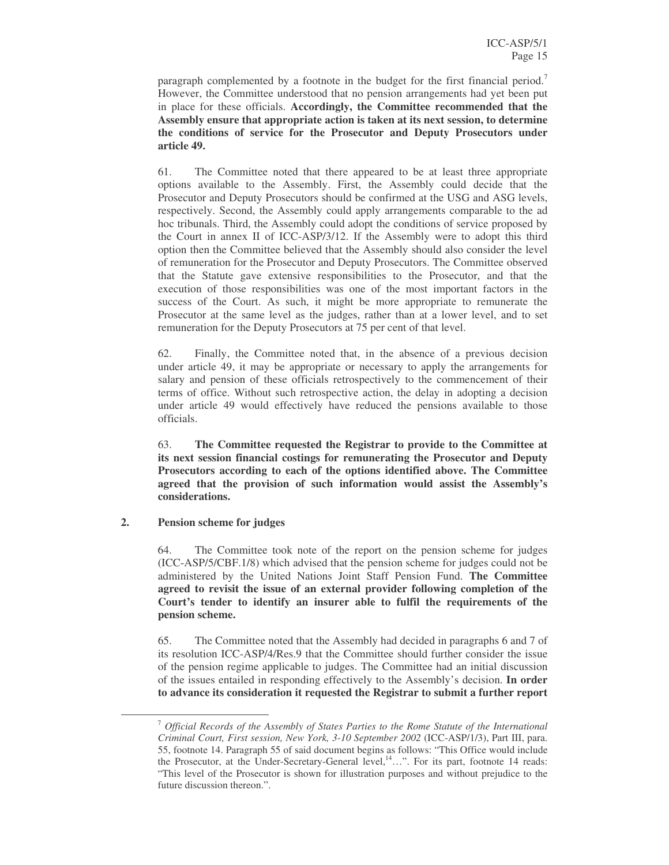paragraph complemented by a footnote in the budget for the first financial period.<sup>7</sup> However, the Committee understood that no pension arrangements had yet been put in place for these officials. **Accordingly, the Committee recommended that the Assembly ensure that appropriate action is taken at its next session, to determine the conditions of service for the Prosecutor and Deputy Prosecutors under article 49.**

61. The Committee noted that there appeared to be at least three appropriate options available to the Assembly. First, the Assembly could decide that the Prosecutor and Deputy Prosecutors should be confirmed at the USG and ASG levels, respectively. Second, the Assembly could apply arrangements comparable to the ad hoc tribunals. Third, the Assembly could adopt the conditions of service proposed by the Court in annex II of ICC-ASP/3/12. If the Assembly were to adopt this third option then the Committee believed that the Assembly should also consider the level of remuneration for the Prosecutor and Deputy Prosecutors. The Committee observed that the Statute gave extensive responsibilities to the Prosecutor, and that the execution of those responsibilities was one of the most important factors in the success of the Court. As such, it might be more appropriate to remunerate the Prosecutor at the same level as the judges, rather than at a lower level, and to set remuneration for the Deputy Prosecutors at 75 per cent of that level.

62. Finally, the Committee noted that, in the absence of a previous decision under article 49, it may be appropriate or necessary to apply the arrangements for salary and pension of these officials retrospectively to the commencement of their terms of office. Without such retrospective action, the delay in adopting a decision under article 49 would effectively have reduced the pensions available to those officials.

63. **The Committee requested the Registrar to provide to the Committee at its next session financial costings for remunerating the Prosecutor and Deputy Prosecutors according to each of the options identified above. The Committee agreed that the provision of such information would assist the Assembly's considerations.**

**2. Pension scheme for judges**

64. The Committee took note of the report on the pension scheme for judges (ICC-ASP/5/CBF.1/8) which advised that the pension scheme for judges could not be administered by the United Nations Joint Staff Pension Fund. **The Committee agreed to revisit the issue of an external provider following completion of the Court's tender to identify an insurer able to fulfil the requirements of the pension scheme.**

65. The Committee noted that the Assembly had decided in paragraphs 6 and 7 of its resolution ICC-ASP/4/Res.9 that the Committee should further consider the issue of the pension regime applicable to judges. The Committee had an initial discussion of the issues entailed in responding effectively to the Assembly's decision. **In order to advance its consideration it requested the Registrar to submit a further report**

<sup>7</sup> *Official Records of the Assembly of States Parties to the Rome Statute of the International Criminal Court, First session, New York, 3-10 September 2002* (ICC-ASP/1/3), Part III, para. 55, footnote 14. Paragraph 55 of said document begins as follows: "This Office would include the Prosecutor, at the Under-Secretary-General level,<sup>14</sup>...". For its part, footnote 14 reads: "This level of the Prosecutor is shown for illustration purposes and without prejudice to the future discussion thereon.".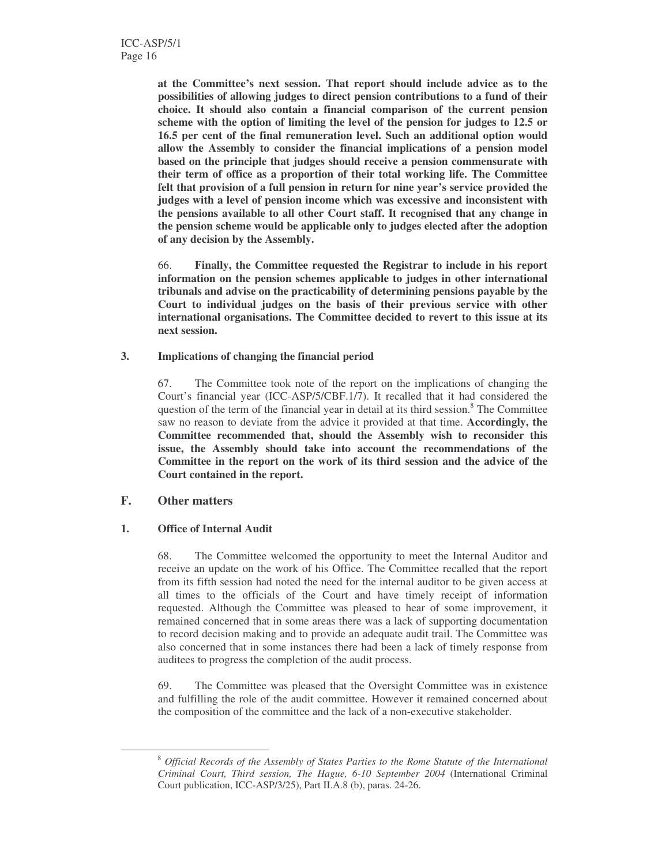**at the Committee's next session. That report should include advice as to the possibilities of allowing judges to direct pension contributions to a fund of their choice. It should also contain a financial comparison of the current pension scheme with the option of limiting the level of the pension for judges to 12.5 or 16.5 per cent of the final remuneration level. Such an additional option would allow the Assembly to consider the financial implications of a pension model based on the principle that judges should receive a pension commensurate with their term of office as a proportion of their total working life. The Committee felt that provision of a full pension in return for nine year's service provided the judges with a level of pension income which was excessive and inconsistent with the pensions available to all other Court staff. It recognised that any change in the pension scheme would be applicable only to judges elected after the adoption of any decision by the Assembly.**

66. **Finally, the Committee requested the Registrar to include in his report information on the pension schemes applicable to judges in other international tribunals and advise on the practicability of determining pensions payable by the Court to individual judges on the basis of their previous service with other international organisations. The Committee decided to revert to this issue at its next session.**

#### **3. Implications of changing the financial period**

67. The Committee took note of the report on the implications of changing the Court's financial year (ICC-ASP/5/CBF.1/7). It recalled that it had considered the question of the term of the financial year in detail at its third session.<sup>8</sup> The Committee saw no reason to deviate from the advice it provided at that time. **Accordingly, the Committee recommended that, should the Assembly wish to reconsider this issue, the Assembly should take into account the recommendations of the Committee in the report on the work of its third session and the advice of the Court contained in the report.**

### **F. Other matters**

### **1. Office of Internal Audit**

68. The Committee welcomed the opportunity to meet the Internal Auditor and receive an update on the work of his Office. The Committee recalled that the report from its fifth session had noted the need for the internal auditor to be given access at all times to the officials of the Court and have timely receipt of information requested. Although the Committee was pleased to hear of some improvement, it remained concerned that in some areas there was a lack of supporting documentation to record decision making and to provide an adequate audit trail. The Committee was also concerned that in some instances there had been a lack of timely response from auditees to progress the completion of the audit process.

69. The Committee was pleased that the Oversight Committee was in existence and fulfilling the role of the audit committee. However it remained concerned about the composition of the committee and the lack of a non-executive stakeholder.

<sup>8</sup> *Official Records of the Assembly of States Parties to the Rome Statute of the International Criminal Court, Third session, The Hague, 6-10 September 2004* (International Criminal Court publication, ICC-ASP/3/25), Part II.A.8 (b), paras. 24-26.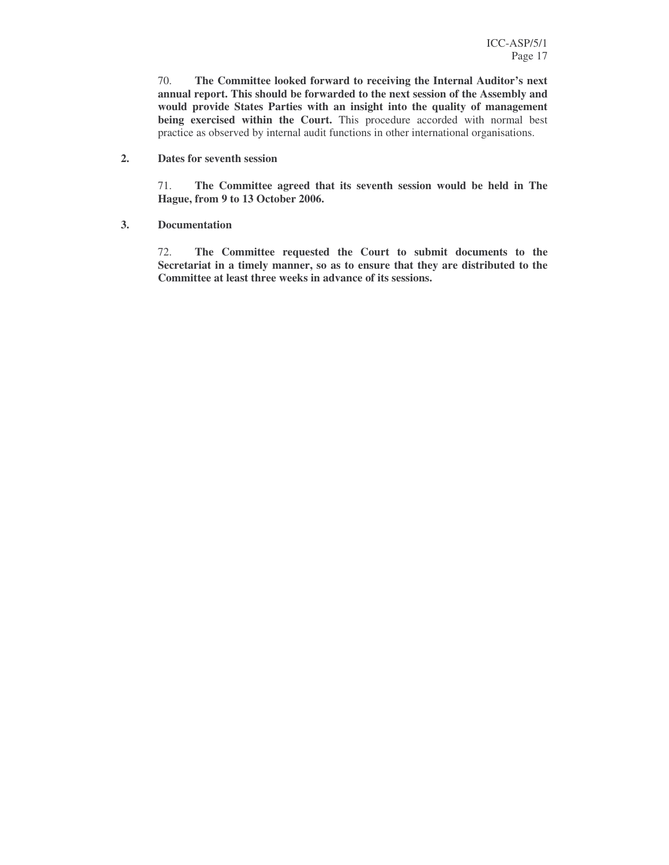70. **The Committee looked forward to receiving the Internal Auditor's next annual report. This should be forwarded to the next session of the Assembly and would provide States Parties with an insight into the quality of management being exercised within the Court.** This procedure accorded with normal best practice as observed by internal audit functions in other international organisations.

#### **2. Dates for seventh session**

71. **The Committee agreed that its seventh session would be held in The Hague, from 9 to 13 October 2006.**

**3. Documentation**

72. **The Committee requested the Court to submit documents to the Secretariat in a timely manner, so as to ensure that they are distributed to the Committee at least three weeks in advance of its sessions.**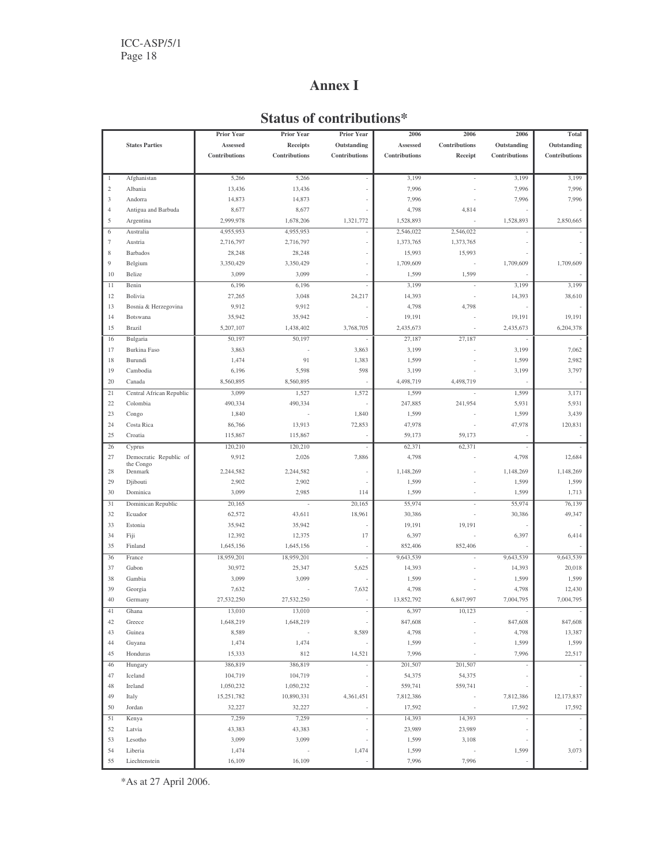## **Annex I**

## **Status of contributions\***

|                |                          | <b>Prior Year</b> | <b>Prior Year</b> | Prior Year    | 2006          | 2006          | 2006                     | Total                    |
|----------------|--------------------------|-------------------|-------------------|---------------|---------------|---------------|--------------------------|--------------------------|
|                | <b>States Parties</b>    | Assessed          | <b>Receipts</b>   | Outstanding   | Assessed      | Contributions | Outstanding              | Outstanding              |
|                |                          | Contributions     | Contributions     | Contributions | Contributions | Receipt       | Contributions            | Contributions            |
|                |                          |                   |                   |               |               |               |                          |                          |
| $\mathbf{1}$   | Afghanistan              | 5,266             | 5,266             |               | 3,199         |               | 3,199                    | 3,199                    |
| 2              | Albania                  | 13,436            | 13,436            |               | 7,996         |               | 7,996                    | 7,996                    |
| 3              | Andorra                  | 14,873            | 14,873            |               | 7,996         |               | 7,996                    | 7,996                    |
| $\overline{4}$ | Antigua and Barbuda      | 8,677             | 8,677             |               | 4,798         | 4,814         |                          |                          |
| 5              | Argentina                | 2,999,978         | 1,678,206         | 1,321,772     | 1,528,893     |               | 1,528,893                | 2,850,665                |
| 6              | Australia                | 4,955,953         | 4,955,953         |               | 2,546,022     | 2,546,022     |                          |                          |
| 7              | Austria                  | 2,716,797         | 2,716,797         |               | 1,373,765     | 1,373,765     |                          |                          |
| 8              | <b>Barbados</b>          | 28,248            | 28,248            |               | 15,993        | 15,993        |                          |                          |
| $\overline{9}$ | Belgium                  | 3,350,429         | 3,350,429         |               | 1,709,609     |               | 1,709,609                | 1,709,609                |
| 10             | Belize                   | 3,099             | 3,099             |               | 1,599         | 1,599         |                          |                          |
| 11             | Benin                    | 6,196             | 6,196             |               | 3,199         |               | 3,199                    | 3,199                    |
| 12             | Bolivia                  | 27,265            | 3,048             | 24,217        | 14,393        | ÷,            | 14,393                   | 38,610                   |
| 13             | Bosnia & Herzegovina     | 9,912             | 9,912             |               | 4,798         | 4,798         |                          |                          |
| 14             | Botswana                 | 35,942            | 35,942            |               | 19,191        |               | 19,191                   | 19,191                   |
| 15             | Brazil                   | 5,207,107         | 1,438,402         | 3,768,705     | 2,435,673     |               | 2,435,673                | 6,204,378                |
| 16             | Bulgaria                 | 50,197            | 50,197            |               | 27,187        | 27,187        |                          |                          |
| 17             | Burkina Faso             | 3,863             |                   | 3,863         | 3,199         |               | 3,199                    | 7,062                    |
| 18             | Burundi                  | 1,474             | 91                | 1,383         | 1,599         |               | 1,599                    | 2,982                    |
| 19             | Cambodia                 | 6,196             | 5,598             | 598           | 3,199         |               | 3,199                    | 3,797                    |
| 20             | Canada                   | 8,560,895         | 8,560,895         |               | 4,498,719     | 4,498,719     | $\overline{\phantom{a}}$ |                          |
| 21             | Central African Republic | 3,099             | 1,527             | 1,572         | 1,599         | ä,            | 1,599                    | 3,171                    |
| 22             | Colombia                 | 490,334           | 490,334           |               | 247,885       | 241.954       | 5,931                    | 5,931                    |
| 23             | Congo                    | 1,840             |                   | 1,840         | 1,599         |               | 1,599                    | 3,439                    |
| 24             | Costa Rica               | 86,766            | 13,913            | 72,853        | 47,978        |               | 47,978                   | 120,831                  |
| 25             | Croatia                  | 115,867           | 115,867           |               | 59,173        | 59,173        |                          |                          |
| 26             | Cyprus                   | 120,210           | 120,210           |               | 62,371        | 62,371        |                          |                          |
| 27             | Democratic Republic of   | 9,912             | 2,026             | 7,886         | 4,798         |               | 4,798                    | 12,684                   |
| 28             | the Congo<br>Denmark     | 2,244,582         | 2,244,582         |               | 1,148,269     |               | 1,148,269                | 1,148,269                |
| 29             | Djibouti                 | 2,902             | 2,902             |               | 1,599         |               | 1,599                    | 1,599                    |
| 30             | Dominica                 | 3,099             | 2,985             | 114           | 1,599         | í,            | 1,599                    | 1,713                    |
| 31             | Dominican Republic       | 20,165            | ×,                | 20,165        | 55,974        |               | 55,974                   | 76,139                   |
| 32             | Ecuador                  | 62,572            | 43,611            | 18,961        | 30,386        |               | 30,386                   | 49,347                   |
| 33             | Estonia                  | 35,942            | 35,942            |               | 19,191        | 19,191        |                          |                          |
| 34             | Fiji                     | 12,392            | 12,375            | 17            | 6,397         |               | 6,397                    | 6,414                    |
| 35             | Finland                  | 1,645,156         | 1,645,156         |               | 852,406       | 852,406       |                          |                          |
| 36             | France                   | 18,959,201        | 18,959,201        |               | 9,643,539     |               | 9,643,539                | 9,643,539                |
| 37             | Gabon                    | 30,972            | 25,347            | 5,625         | 14,393        |               | 14,393                   | 20,018                   |
| 38             | Gambia                   | 3,099             | 3,099             |               | 1,599         |               | 1,599                    | 1,599                    |
| 39             | Georgia                  | 7,632             |                   | 7,632         | 4,798         |               | 4,798                    | 12,430                   |
| 40             | Germany                  | 27,532,250        | 27,532,250        |               | 13,852,792    | 6,847,997     | 7,004,795                | 7,004,795                |
| 41             | Ghana                    | 13,010            | 13,010            |               | 6,397         | 10,123        | ÷,                       |                          |
| 42             | Greece                   | 1,648,219         | 1,648,219         |               | 847,608       |               | 847,608                  | 847,608                  |
| 43             | Guinea                   | 8,589             |                   | 8,589         | 4,798         |               | 4,798                    | 13,387                   |
| 44             | Guyana                   | 1,474             | 1,474             |               | 1,599         |               | 1,599                    | 1,599                    |
| 45             | Honduras                 | 15,333            | 812               | 14,521        | 7,996         |               | 7,996                    | 22,517                   |
| 46             | Hungary                  | 386,819           | 386,819           |               | 201,507       | 201,507       |                          |                          |
| 47             | Iceland                  | 104,719           | 104,719           |               | 54,375        | 54,375        |                          |                          |
| 48             | Ireland                  | 1,050,232         | 1,050,232         |               | 559,741       | 559,741       |                          |                          |
| 49             | Italy                    | 15,251,782        | 10,890,331        | 4,361,451     | 7,812,386     |               | 7,812,386                | 12,173,837               |
| 50             | Jordan                   | 32,227            | 32,227            |               | 17,592        |               | 17,592                   | 17,592                   |
| 51             | Kenya                    | 7,259             | 7,259             | ä,            | 14,393        | 14,393        |                          |                          |
| 52             | Latvia                   | 43,383            | 43,383            |               | 23,989        | 23,989        |                          |                          |
| 53             | Lesotho                  | 3,099             | 3,099             |               | 1,599         | 3,108         |                          |                          |
| 54             | Liberia                  | 1,474             |                   | 1,474         | 1,599         |               | 1,599                    | 3,073                    |
| 55             | Liechtenstein            | 16,109            | 16,109            |               | 7,996         | 7,996         |                          | $\overline{\phantom{a}}$ |

\*As at 27 April 2006.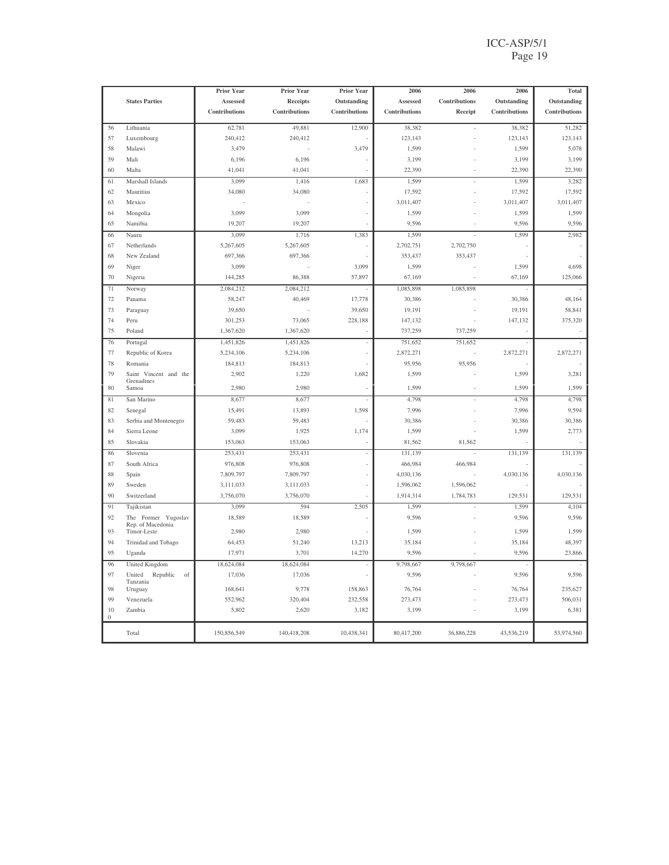### ICC-ASP/5/1 Page 19

|              |                                          | Prior Year    | Prior Year      | Prior Year    | 2006          | 2006          | 2006          | Total         |
|--------------|------------------------------------------|---------------|-----------------|---------------|---------------|---------------|---------------|---------------|
|              | <b>States Parties</b>                    | Assessed      | <b>Receipts</b> | Outstanding   | Assessed      | Contributions | Outstanding   | Outstanding   |
|              |                                          | Contributions | Contributions   | Contributions | Contributions | Receipt       | Contributions | Contributions |
| 56           | Lithuania                                | 62,781        | 49,881          | 12,900        | 38,382        |               | 38,382        | 51,282        |
| 57           | Luxembourg                               | 240,412       | 240,412         |               | 123,143       |               | 123,143       | 123,143       |
| 58           | Malawi                                   | 3,479         |                 | 3,479         | 1,599         |               | 1,599         | 5,078         |
| 59           | Mali                                     | 6,196         | 6,196           |               | 3,199         |               | 3,199         | 3,199         |
| 60           | Malta                                    | 41,041        | 41,041          |               | 22,390        |               | 22,390        | 22,390        |
| 61           | Marshall Islands                         | 3,099         | 1,416           | 1,683         | 1,599         |               | 1,599         | 3,282         |
| 62           | Mauritius                                | 34,080        | 34,080          |               | 17,592        |               | 17,592        | 17,592        |
| 63           | Mexico                                   |               |                 |               | 3,011,407     |               | 3,011,407     | 3,011,407     |
| 64           | Mongolia                                 | 3,099         | 3,099           |               | 1,599         |               | 1,599         | 1,599         |
| 65           | Namibia                                  | 19,207        | 19,207          |               | 9,596         |               | 9,596         | 9,596         |
| 66           | Nauru                                    | 3,099         | 1,716           | 1,383         | 1,599         |               | 1,599         | 2,982         |
| 67           | Netherlands                              | 5,267,605     | 5,267,605       |               | 2,702,751     | 2,702,750     |               |               |
| 68           | New Zealand                              | 697,366       | 697,366         |               | 353,437       | 353,437       |               |               |
| 69           | Niger                                    | 3,099         | ż.              | 3,099         | 1,599         |               | 1,599         | 4,698         |
| 70           | Nigeria                                  | 144,285       | 86,388          | 57,897        | 67,169        |               | 67,169        | 125,066       |
| 71           | Norway                                   | 2,084,212     | 2,084,212       |               | 1,085,898     | 1,085,898     |               |               |
| 72           | Panama                                   | 58,247        | 40,469          | 17,778        | 30,386        |               | 30,386        | 48,164        |
| 73           | Paraguay                                 | 39,650        |                 | 39,650        | 19,191        |               | 19,191        | 58,841        |
| 74           | Peru                                     | 301,253       | 73,065          | 228,188       | 147,132       |               | 147,132       | 375,320       |
| 75           | Poland                                   | 1,367,620     | 1,367,620       |               | 737,259       | 737,259       |               |               |
| 76           | Portugal                                 | 1,451,826     | 1,451,826       | ł,            | 751,652       | 751,652       | ÷,            |               |
| 77           | Republic of Korea                        | 5,234,106     | 5,234,106       |               | 2,872,271     |               | 2,872,271     | 2,872,271     |
| 78           | Romania                                  | 184,813       | 184,813         |               | 95,956        | 95,956        |               |               |
| 79           | Saint Vincent and the<br>Grenadines      | 2,902         | 1,220           | 1,682         | 1,599         |               | 1,599         | 3,281         |
| 80           | Samoa                                    | 2,980         | 2,980           |               | 1,599         |               | 1,599         | 1,599         |
| 81           | San Marino                               | 8,677         | 8,677           |               | 4,798         |               | 4,798         | 4,798         |
| 82           | Senegal                                  | 15,491        | 13,893          | 1,598         | 7,996         |               | 7,996         | 9,594         |
| 83           | Serbia and Montenegro                    | 59,483        | 59,483          |               | 30,386        |               | 30,386        | 30,386        |
| 84           | Sierra Leone                             | 3,099         | 1,925           | 1,174         | 1,599         |               | 1,599         | 2,773         |
| 85           | Slovakia                                 | 153,063       | 153,063         |               | 81,562        | 81,562        |               |               |
| 86           | Slovenia                                 | 253,431       | 253,431         |               | 131,139       |               | 131,139       | 131,139       |
| 87           | South Africa                             | 976,808       | 976,808         |               | 466,984       | 466,984       |               |               |
| 88           | Spain                                    | 7,809,797     | 7,809,797       |               | 4,030,136     |               | 4,030,136     | 4,030,136     |
| 89           | Sweden                                   | 3,111,033     | 3,111,033       |               | 1,596,062     | 1,596,062     |               |               |
| 90           | Switzerland                              | 3,756,070     | 3,756,070       |               | 1,914,314     | 1,784,783     | 129,531       | 129,531       |
| 91           | Tajikistan                               | 3,099         | 594             | 2,505         | 1,599         |               | 1,599         | 4,104         |
| 92           | The Former Yugoslav<br>Rep. of Macedonia | 18,589        | 18,589          |               | 9,596         |               | 9,596         | 9,596         |
| 93           | Timor-Leste                              | 2,980         | 2,980           |               | 1,599         |               | 1,599         | 1,599         |
| 94           | Trinidad and Tobago                      | 64,453        | 51,240          | 13,213        | 35,184        |               | 35,184        | 48,397        |
| 95           | Uganda                                   | 17,971        | 3,701           | 14,270        | 9,596         |               | 9,596         | 23,866        |
| 96           | United Kingdom                           | 18,624,084    | 18,624,084      | J.            | 9,798,667     | 9,798,667     |               |               |
| 97           | United<br>Republic<br>of                 | 17,036        | 17,036          |               | 9,596         |               | 9,596         | 9,596         |
| 98           | Tanzania<br>Uruguay                      | 168,641       | 9,778           | 158,863       | 76,764        |               | 76,764        | 235,627       |
| 99           | Venezuela                                | 552,962       | 320,404         | 232,558       | 273,473       |               | 273,473       | 506,031       |
| 10           | Zambia                                   | 5,802         | 2,620           | 3,182         | 3,199         |               | 3,199         | 6,381         |
| $\mathbf{0}$ | Total                                    | 150,856,549   | 140,418,208     | 10,438,341    | 80,417,200    | 36,886,228    | 43,536,219    | 53,974,560    |
|              |                                          |               |                 |               |               |               |               |               |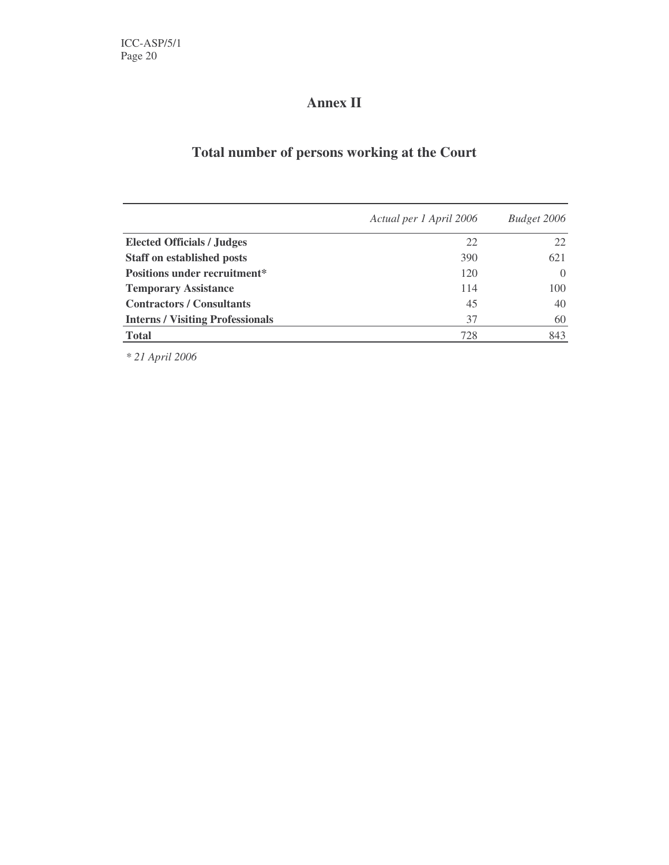# **Annex II**

# **Total number of persons working at the Court**

|                                         | Actual per 1 April 2006 | Budget 2006 |
|-----------------------------------------|-------------------------|-------------|
| <b>Elected Officials / Judges</b>       | 22                      | 22          |
| <b>Staff on established posts</b>       | 390                     | 621         |
| <b>Positions under recruitment*</b>     | 120                     | $\theta$    |
| <b>Temporary Assistance</b>             | 114                     | 100         |
| <b>Contractors / Consultants</b>        | 45                      | 40          |
| <b>Interns / Visiting Professionals</b> | 37                      | 60          |
| <b>Total</b>                            | 728                     | 843         |

*\* 21 April 2006*